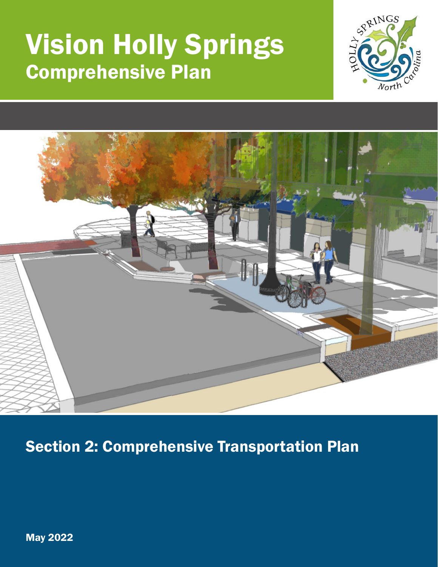# Vision Holly Springs Comprehensive Plan





Section 2: Comprehensive Transportation Plan

May 2022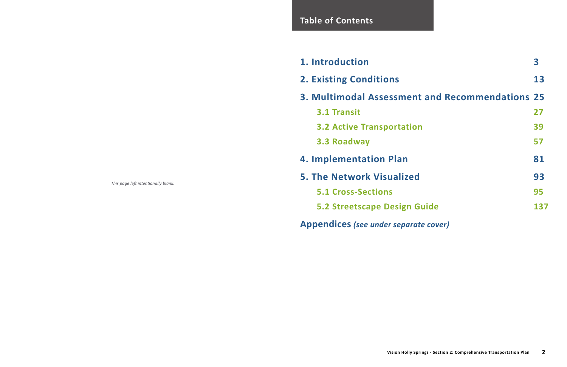*This page left intentionally blank.*

### **Table of Contents**

- **1. Introduction 3**
- **2. Existing Conditions**
- **3. Multimodal Assessment** 
	- **3.1 Transit**
	- **3.2 Active Transportation**
	- **3.3 Roadway**
- **4. Implementation Plan**
- **5. The Network Visualized** 
	- **5.1 Cross-Sections**
	-
- **Appendices** *(see under separate cover)*

| ntroduction                                         | 3   |
|-----------------------------------------------------|-----|
| <b>Existing Conditions</b>                          | 13  |
| <b>Multimodal Assessment and Recommendations 25</b> |     |
| <b>3.1 Transit</b>                                  | 27  |
| <b>3.2 Active Transportation</b>                    | 39  |
| 3.3 Roadway                                         | 57  |
| <b>mplementation Plan</b>                           | 81  |
| <b>The Network Visualized</b>                       | 93  |
| <b>5.1 Cross-Sections</b>                           | 95  |
| 5.2 Streetscape Design Guide                        | 137 |
|                                                     |     |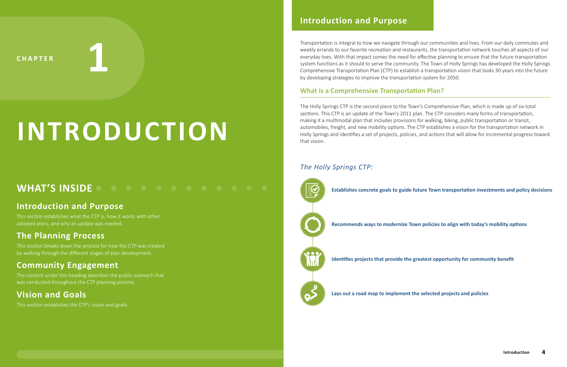CHAPTER **1** 

# **INTRODUCTION**

Transportation is integral to how we navigate through our communities and lives. From our daily commutes and weekly errands to our favorite recreation and restaurants, the transportation network touches all aspects of our everyday lives. With that impact comes the need for effective planning to ensure that the future transportation system functions as it should to serve the community. The Town of Holly Springs has developed the Holly Springs Comprehensive Transportation Plan (CTP) to establish a transportation vision that looks 30 years into the future by developing strategies to improve the transportation system for 2050.

#### **What is a Comprehensive Transportation Plan?**

The Holly Springs CTP is the second piece to the Town's Comprehensive Plan, which is made up of six total sections. This CTP is an update of the Town's 2011 plan. The CTP considers many forms of transportation, making it a multimodal plan that includes provisions for walking, biking, public transportation or transit, automobiles, freight, and new mobility options. The CTP establishes a vision for the transportation network in Holly Springs and identifies a set of projects, policies, and actions that will allow for incremental progress toward that vision.

#### *The Holly Springs CTP:*

**• Establishes concrete goals to guide future Town transportation investments and policy decisions**

**• Recommends ways to modernize Town policies to align with today's mobility options**

**• Identifies projects that provide the greatest opportunity for community benefit**



### **WHAT'S INSIDE**

#### **Introduction and Purpose**

This section establishes what the CTP is, how it works with other adopted plans, and why an update was needed.

#### **The Planning Process**

This section breaks down the process for how the CTP was created by walking through the different stages of plan development.

### **Community Engagement**

The content under this heading describes the public outreach that was conducted throughout the CTP planning process.

### **Vision and Goals**

This section establishes the CTP's vision and goals.

#### **Introduction and Purpose**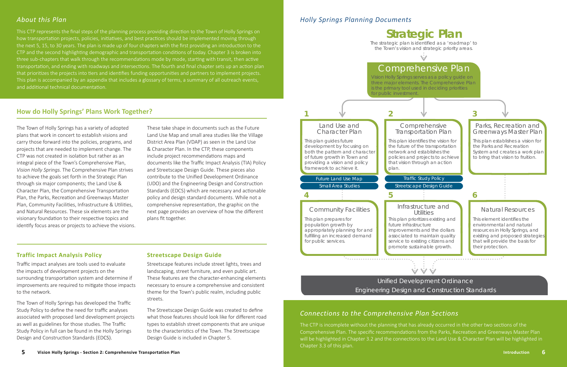# Engineering Design and Construction Standards

#### Traffic Study Policy

Streetscape Design Guide

### **3**

#### Parks, Recreation and Greenways Master Plan



This plan establishes a vision for the Parks and Recreation System and creates a work plan to bring that vision to fruition.

#### Comprehensive Transportation Plan

This plan identifies the vision for the future of the transportation network and establishes the policies and projects to achieve that vision through an action

#### Infrastructure and **Utilities**

# **Strategic Plan**

the Town's vision and strategic priority areas.

## Comprehensive Plan

Vision Holly Springs serves as a policy guide on three major elements. The Comprehensive Plan is the primary tool used in deciding priorities

**6**

#### Natural Resources

This element identifies the environmental and natural resources in Holly Springs, and existing and proposed strategies that will provide the basis for their protection.

improvements and the dollars associated to maintain quality service to existing citizens and promote sustainable growth.

The Town of Holly Springs has a variety of adopted plans that work in concert to establish visions and carry those forward into the policies, programs, and projects that are needed to implement change. The CTP was not created in isolation but rather as an integral piece of the Town's Comprehensive Plan, *Vision Holly Springs.* The Comprehensive Plan strives to achieve the goals set forth in the Strategic Plan through six major components; the Land Use & Character Plan, the Comprehensive Transportation Plan, the Parks, Recreation and Greenways Master Plan, Community Facilities, Infrastructure & Utilities, and Natural Resources. These six elements are the visionary foundation to their respective topics and identify focus areas or projects to achieve the visions.

These take shape in documents such as the Future Land Use Map and small area studies like the Village District Area Plan (VDAP) as seen in the Land Use & Character Plan. In the CTP, these components include project recommendations maps and documents like the Traffic Impact Analysis (TIA) Policy and Streetscape Design Guide. These pieces also contribute to the Unified Development Ordinance (UDO) and the Engineering Design and Construction Standards (EDCS) which are necessary and actionable policy and design standard documents. While not a comprehensive representation, the graphic on the next page provides an overview of how the different plans fit together.

#### *About this Plan*

This CTP represents the final steps of the planning process providing direction to the Town of Holly Springs on how transportation projects, policies, initiatives, and best practices should be implemented moving through the next 5, 15, to 30 years. The plan is made up of four chapters with the first providing an introduction to the CTP and the second highlighting demographic and transportation conditions of today. Chapter 3 is broken into three sub-chapters that walk through the recommendations mode by mode, starting with transit, then active transportation, and ending with roadways and intersections. The fourth and final chapter sets up an action plan that prioritizes the projects into tiers and identifies funding opportunities and partners to implement projects. This plan is accompanied by an appendix that includes a glossary of terms, a summary of all outreach events, and additional technical documentation.

#### **How do Holly Springs' Plans Work Together?**



#### **Traffic Impact Analysis Policy**

Traffic impact analyses are tools used to evaluate the impacts of development projects on the surrounding transportation system and determine if improvements are required to mitigate those impacts to the network.

The Town of Holly Springs has developed the Traffic Study Policy to define the need for traffic analyses associated with proposed land development projects as well as guidelines for those studies. The Traffic Study Policy in full can be found in the Holly Springs Design and Construction Standards (EDCS).

#### **Streetscape Design Guide**

Streetscape features include street lights, trees and landscaping, street furniture, and even public art. These features are the character-enhancing elements necessary to ensure a comprehensive and consistent theme for the Town's public realm, including public streets.

The Streetscape Design Guide was created to define what those features should look like for different road types to establish street components that are unique to the characteristics of the Town. The Streetscape Design Guide is included in Chapter 5.

The CTP is incomplete without the planning that has already occurred in the other two sections of the Comprehensive Plan. The specific recommendations from the Parks, Recreation and Greenways Master Plan will be highlighted in Chapter 3.2 and the connections to the Land Use & Character Plan will be highlighted in Chapter 3.3 of this plan.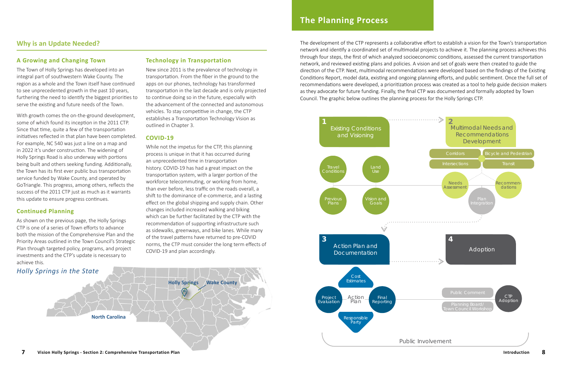#### **A Growing and Changing Town**

The Town of Holly Springs has developed into an integral part of southwestern Wake County. The region as a whole and the Town itself have continued to see unprecedented growth in the past 10 years, furthering the need to identify the biggest priorities to serve the existing and future needs of the Town.

With growth comes the on-the-ground development, some of which found its inception in the 2011 CTP. Since that time, quite a few of the transportation initiatives reflected in that plan have been completed. For example, NC 540 was just a line on a map and in 2022 it's under construction. The widening of Holly Springs Road is also underway with portions being built and others seeking funding. Additionally, the Town has its first ever public bus transportation service funded by Wake County, and operated by GoTriangle. This progress, among others, reflects the success of the 2011 CTP just as much as it warrants this update to ensure progress continues.

#### **Continued Planning**

As shown on the previous page, the Holly Springs CTP is one of a series of Town efforts to advance both the mission of the Comprehensive Plan and the Priority Areas outlined in the Town Council's Strategic Plan through targeted policy, programs, and project investments and the CTP's update is necessary to achieve this.

#### **Technology in Transportation**



New since 2011 is the prevalence of technology in transportation. From the fiber in the ground to the apps on our phones, technology has transformed transportation in the last decade and is only projected to continue doing so in the future, especially with the advancement of the connected and autonomous vehicles. To stay competitive in change, the CTP establishes a Transportation Technology Vision as outlined in Chapter 3.

#### **COVID-19**

While not the impetus for the CTP, this planning process is unique in that it has occurred during an unprecedented time in transportation history. COVID-19 has had a great impact on the transportation system, with a larger portion of the workforce telecommuting, or working from home, than ever before, less traffic on the roads overall, a shift to the dominance of e-commerce, and a lasting effect on the global shipping and supply chain. Other changes included increased walking and biking which can be further facilitated by the CTP with the recommendation of supporting infrastructure such as sidewalks, greenways, and bike lanes. While many of the travel patterns have returned to pre-COVID norms, the CTP must consider the long term effects of COVID-19 and plan accordingly.

#### **Why is an Update Needed?**

*Holly Springs in the State* 

**North Carolina**

**Holly Springs Wake County**

### **The Planning Process**

The development of the CTP represents a collaborative effort to establish a vision for the Town's transportation network and identify a coordinated set of multimodal projects to achieve it. The planning process achieves this through four steps, the first of which analyzed socioeconomic conditions, assessed the current transportation network, and reviewed existing plans and policies. A vision and set of goals were then created to guide the direction of the CTP. Next, multimodal recommendations were developed based on the findings of the Existing Conditions Report, model data, existing and ongoing planning efforts, and public sentiment. Once the full set of recommendations were developed, a prioritization process was created as a tool to help guide decision makers as they advocate for future funding. Finally, the final CTP was documented and formally adopted by Town

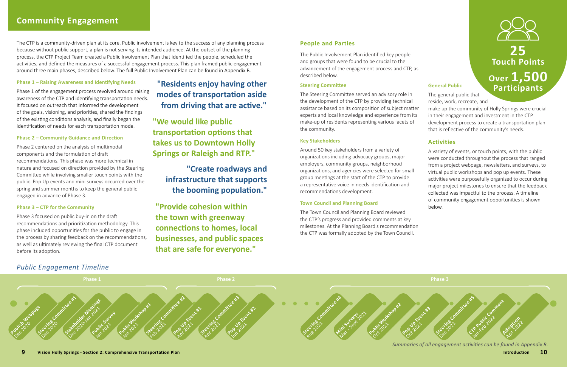

#### **People and Parties**

The Public Involvement Plan identified key people and groups that were found to be crucial to the advancement of the engagement process and CTP, as described below.

#### **Steering Committee**

#### **Key Stakeholders**

Around 50 key stakeholders from a variety of organizations including advocacy groups, major employers, community groups, neighborhood organizations, and agencies were selected for small group meetings at the start of the CTP to provide a representative voice in needs identification and recommendations development.

#### **Town Council and Planning Board**

The Town Council and Planning Board reviewed the CTP's progress and provided comments at key milestones. At the Planning Board's recommendation the CTP was formally adopted by the Town Council.

The Steering Committee served an advisory role in the development of the CTP by providing technical assistance based on its composition of subject matter experts and local knowledge and experience from its make-up of residents representing various facets of the community. The general public that reside, work, recreate, and make up the community of Holly Springs were crucial in their engagement and investment in the CTP development process to create a transportation plan that is reflective of the community's needs.

#### *Public Engagement Timeline*

### **25 Touch Points Over 1,500 Participants**

The CTP is a community-driven plan at its core. Public involvement is key to the success of any planning process because without public support, a plan is not serving its intended audience. At the outset of the planning process, the CTP Project Team created a Public Involvement Plan that identified the people, scheduled the activities, and defined the measures of a successful engagement process. This plan framed public engagement around three main phases, described below. The full Public Involvement Plan can be found in Appendix B.



*Summaries of all engagement activities can be found in Appendix B.*

#### **General Public**

#### **Activities**

A variety of events, or touch points, with the public were conducted throughout the process that ranged from a project webpage, newsletters, and surveys, to virtual public workshops and pop up events. These activities were purposefully organized to occur during major project milestones to ensure that the feedback collected was impactful to the process. A timeline of community engagement opportunities is shown below.

#### **Phase 1 – Raising Awareness and Identifying Needs**

Phase 1 of the engagement process revolved around raising awareness of the CTP and identifying transportation needs. It focused on outreach that informed the development of the goals, visioning, and priorities, shared the findings of the existing conditions analysis, and finally began the identification of needs for each transportation mode.

#### **Phase 2 – Community Guidance and Direction**

Phase 2 centered on the analysis of multimodal components and the formulation of draft recommendations. This phase was more technical in nature and focused on direction provided by the Steering Committee while involving smaller touch points with the public. Pop Up events and mini surveys occurred over the spring and summer months to keep the general public engaged in advance of Phase 3.

#### **Phase 3 – CTP for the Community**

Phase 3 focused on public buy-in on the draft recommendations and prioritization methodology. This phase included opportunities for the public to engage in the process by sharing feedback on the recommendations, as well as ultimately reviewing the final CTP document before its adoption.

### **"Residents enjoy having other modes of transportation aside from driving that are active."**

**"We would like public transportation options that takes us to Downtown Holly Springs or Raleigh and RTP."**

### **"Create roadways and infrastructure that supports the booming population."**

**"Provide cohesion within the town with greenway connections to homes, local businesses, and public spaces that are safe for everyone."**